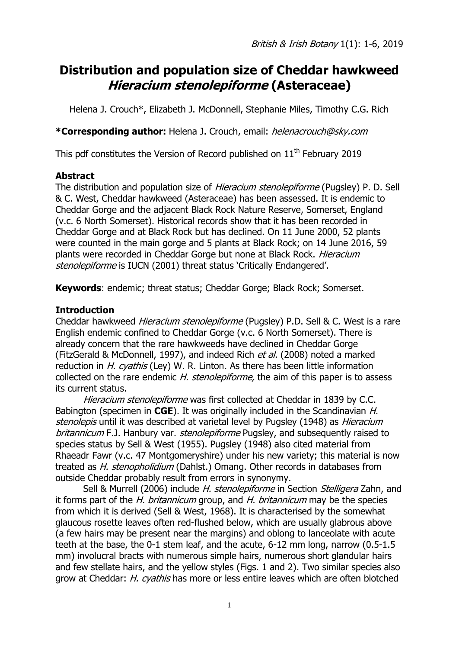# **Distribution and population size of Cheddar hawkweed Hieracium stenolepiforme (Asteraceae)**

Helena J. Crouch\*, Elizabeth J. McDonnell, Stephanie Miles, Timothy C.G. Rich

**\*Corresponding author:** Helena J. Crouch, email: helenacrouch@sky.com

This pdf constitutes the Version of Record published on  $11<sup>th</sup>$  February 2019

## **Abstract**

The distribution and population size of *Hieracium stenolepiforme* (Pugsley) P. D. Sell & C. West, Cheddar hawkweed (Asteraceae) has been assessed. It is endemic to Cheddar Gorge and the adjacent Black Rock Nature Reserve, Somerset, England (v.c. 6 North Somerset). Historical records show that it has been recorded in Cheddar Gorge and at Black Rock but has declined. On 11 June 2000, 52 plants were counted in the main gorge and 5 plants at Black Rock; on 14 June 2016, 59 plants were recorded in Cheddar Gorge but none at Black Rock. Hieracium stenolepiforme is IUCN (2001) threat status 'Critically Endangered'.

**Keywords**: endemic; threat status; Cheddar Gorge; Black Rock; Somerset.

# **Introduction**

Cheddar hawkweed Hieracium stenolepiforme (Pugsley) P.D. Sell & C. West is a rare English endemic confined to Cheddar Gorge (v.c. 6 North Somerset). There is already concern that the rare hawkweeds have declined in Cheddar Gorge (FitzGerald & McDonnell, 1997), and indeed Rich et al. (2008) noted a marked reduction in  $H.$  cyathis (Ley) W. R. Linton. As there has been little information collected on the rare endemic H. stenolepiforme, the aim of this paper is to assess its current status.

Hieracium stenolepiforme was first collected at Cheddar in 1839 by C.C. Babington (specimen in **CGE**). It was originally included in the Scandinavian H. stenolepis until it was described at varietal level by Pugsley (1948) as *Hieracium* britannicum F.J. Hanbury var. stenolepiforme Pugsley, and subsequently raised to species status by Sell & West (1955). Pugsley (1948) also cited material from Rhaeadr Fawr (v.c. 47 Montgomeryshire) under his new variety; this material is now treated as *H. stenopholidium* (Dahlst.) Omang. Other records in databases from outside Cheddar probably result from errors in synonymy.

Sell & Murrell (2006) include H. stenolepiforme in Section Stelligera Zahn, and it forms part of the  $H$ . britannicum group, and  $H$ . britannicum may be the species from which it is derived (Sell & West, 1968). It is characterised by the somewhat glaucous rosette leaves often red-flushed below, which are usually glabrous above (a few hairs may be present near the margins) and oblong to lanceolate with acute teeth at the base, the 0-1 stem leaf, and the acute, 6-12 mm long, narrow (0.5-1.5 mm) involucral bracts with numerous simple hairs, numerous short glandular hairs and few stellate hairs, and the yellow styles (Figs. 1 and 2). Two similar species also grow at Cheddar: *H. cyathis* has more or less entire leaves which are often blotched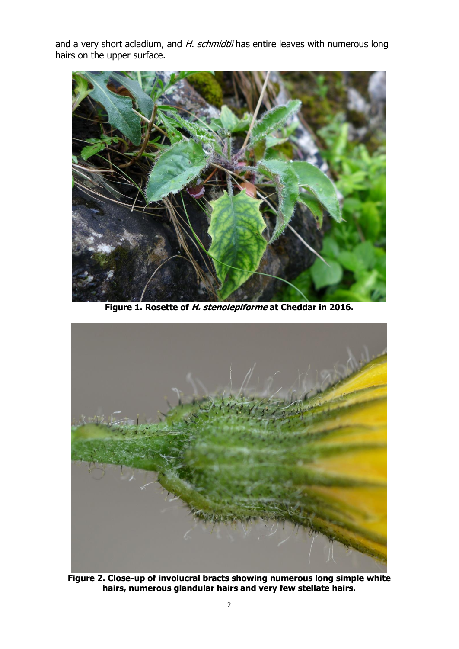and a very short acladium, and H. schmidtii has entire leaves with numerous long hairs on the upper surface.



**Figure 1. Rosette of H. stenolepiforme at Cheddar in 2016.**



**Figure 2. Close-up of involucral bracts showing numerous long simple white hairs, numerous glandular hairs and very few stellate hairs.**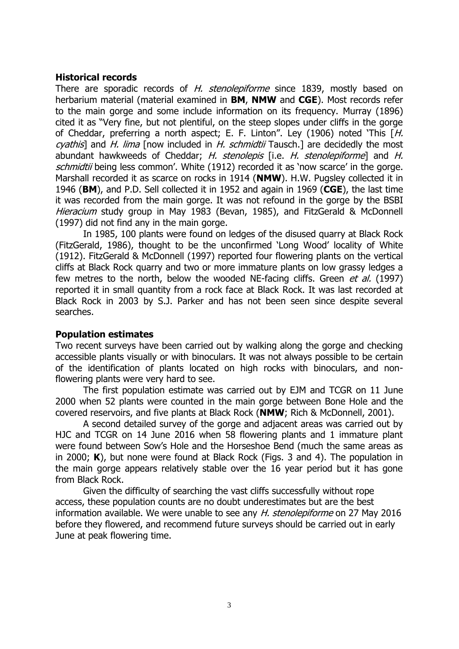## **Historical records**

There are sporadic records of H. stenolepiforme since 1839, mostly based on herbarium material (material examined in **BM**, **NMW** and **CGE**). Most records refer to the main gorge and some include information on its frequency. Murray (1896) cited it as "Very fine, but not plentiful, on the steep slopes under cliffs in the gorge of Cheddar, preferring a north aspect; E. F. Linton". Ley (1906) noted 'This  $H$ . cyathis] and H. lima [now included in H. schmidtii Tausch.] are decidedly the most abundant hawkweeds of Cheddar; H. stenolepis [i.e. H. stenolepiforme] and H. schmidtii being less common'. White (1912) recorded it as 'now scarce' in the gorge. Marshall recorded it as scarce on rocks in 1914 (**NMW**). H.W. Pugsley collected it in 1946 (**BM**), and P.D. Sell collected it in 1952 and again in 1969 (**CGE**), the last time it was recorded from the main gorge. It was not refound in the gorge by the BSBI Hieracium study group in May 1983 (Bevan, 1985), and FitzGerald & McDonnell (1997) did not find any in the main gorge.

In 1985, 100 plants were found on ledges of the disused quarry at Black Rock (FitzGerald, 1986), thought to be the unconfirmed 'Long Wood' locality of White (1912). FitzGerald & McDonnell (1997) reported four flowering plants on the vertical cliffs at Black Rock quarry and two or more immature plants on low grassy ledges a few metres to the north, below the wooded NE-facing cliffs. Green *et al.* (1997) reported it in small quantity from a rock face at Black Rock. It was last recorded at Black Rock in 2003 by S.J. Parker and has not been seen since despite several searches.

#### **Population estimates**

Two recent surveys have been carried out by walking along the gorge and checking accessible plants visually or with binoculars. It was not always possible to be certain of the identification of plants located on high rocks with binoculars, and nonflowering plants were very hard to see.

The first population estimate was carried out by EJM and TCGR on 11 June 2000 when 52 plants were counted in the main gorge between Bone Hole and the covered reservoirs, and five plants at Black Rock (**NMW**; Rich & McDonnell, 2001).

A second detailed survey of the gorge and adjacent areas was carried out by HJC and TCGR on 14 June 2016 when 58 flowering plants and 1 immature plant were found between Sow's Hole and the Horseshoe Bend (much the same areas as in 2000; **K**), but none were found at Black Rock (Figs. 3 and 4). The population in the main gorge appears relatively stable over the 16 year period but it has gone from Black Rock.

Given the difficulty of searching the vast cliffs successfully without rope access, these population counts are no doubt underestimates but are the best information available. We were unable to see any H. stenolepiforme on 27 May 2016 before they flowered, and recommend future surveys should be carried out in early June at peak flowering time.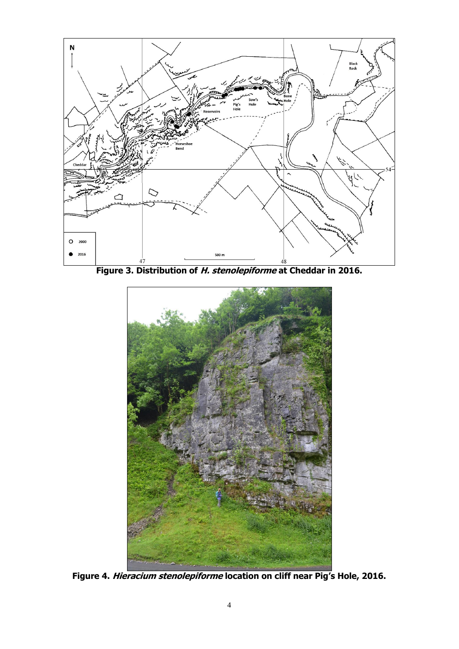

**Figure 3. Distribution of H. stenolepiforme at Cheddar in 2016.**



**Figure 4. Hieracium stenolepiforme location on cliff near Pig's Hole, 2016.**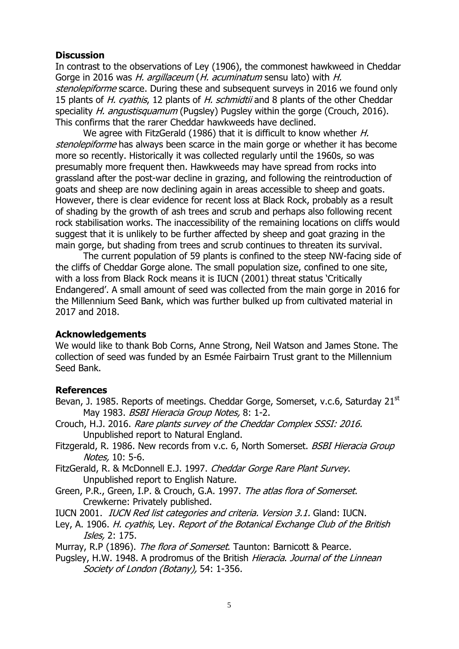## **Discussion**

In contrast to the observations of Ley (1906), the commonest hawkweed in Cheddar Gorge in 2016 was H. argillaceum (H. acuminatum sensu lato) with H. stenolepiforme scarce. During these and subsequent surveys in 2016 we found only 15 plants of H. cyathis, 12 plants of H. schmidtii and 8 plants of the other Cheddar speciality *H. angustisquamum* (Pugsley) Pugsley within the gorge (Crouch, 2016). This confirms that the rarer Cheddar hawkweeds have declined.

We agree with FitzGerald (1986) that it is difficult to know whether H. stenolepiforme has always been scarce in the main gorge or whether it has become more so recently. Historically it was collected regularly until the 1960s, so was presumably more frequent then. Hawkweeds may have spread from rocks into grassland after the post-war decline in grazing, and following the reintroduction of goats and sheep are now declining again in areas accessible to sheep and goats. However, there is clear evidence for recent loss at Black Rock, probably as a result of shading by the growth of ash trees and scrub and perhaps also following recent rock stabilisation works. The inaccessibility of the remaining locations on cliffs would suggest that it is unlikely to be further affected by sheep and goat grazing in the main gorge, but shading from trees and scrub continues to threaten its survival.

The current population of 59 plants is confined to the steep NW-facing side of the cliffs of Cheddar Gorge alone. The small population size, confined to one site, with a loss from Black Rock means it is IUCN (2001) threat status 'Critically Endangered'. A small amount of seed was collected from the main gorge in 2016 for the Millennium Seed Bank, which was further bulked up from cultivated material in 2017 and 2018.

#### **Acknowledgements**

We would like to thank Bob Corns, Anne Strong, Neil Watson and James Stone. The collection of seed was funded by an Esmée Fairbairn Trust grant to the Millennium Seed Bank.

#### **References**

- Bevan, J. 1985. Reports of meetings. Cheddar Gorge, Somerset, v.c.6, Saturday 21<sup>st</sup> May 1983. BSBI Hieracia Group Notes, 8: 1-2.
- Crouch, H.J. 2016. Rare plants survey of the Cheddar Complex SSSI: 2016. Unpublished report to Natural England.
- Fitzgerald, R. 1986. New records from v.c. 6, North Somerset. *BSBI Hieracia Group* Notes, 10: 5-6.
- FitzGerald, R. & McDonnell E.J. 1997. Cheddar Gorge Rare Plant Survey. Unpublished report to English Nature.
- Green, P.R., Green, I.P. & Crouch, G.A. 1997. The atlas flora of Somerset. Crewkerne: Privately published.
- IUCN 2001. IUCN Red list categories and criteria. Version 3.1. Gland: IUCN.
- Ley, A. 1906. H. cyathis, Ley. Report of the Botanical Exchange Club of the British Isles, 2: 175.
- Murray, R.P (1896). The flora of Somerset. Taunton: Barnicott & Pearce.
- Pugsley, H.W. 1948. A prodromus of the British Hieracia. Journal of the Linnean Society of London (Botany), 54: 1-356.